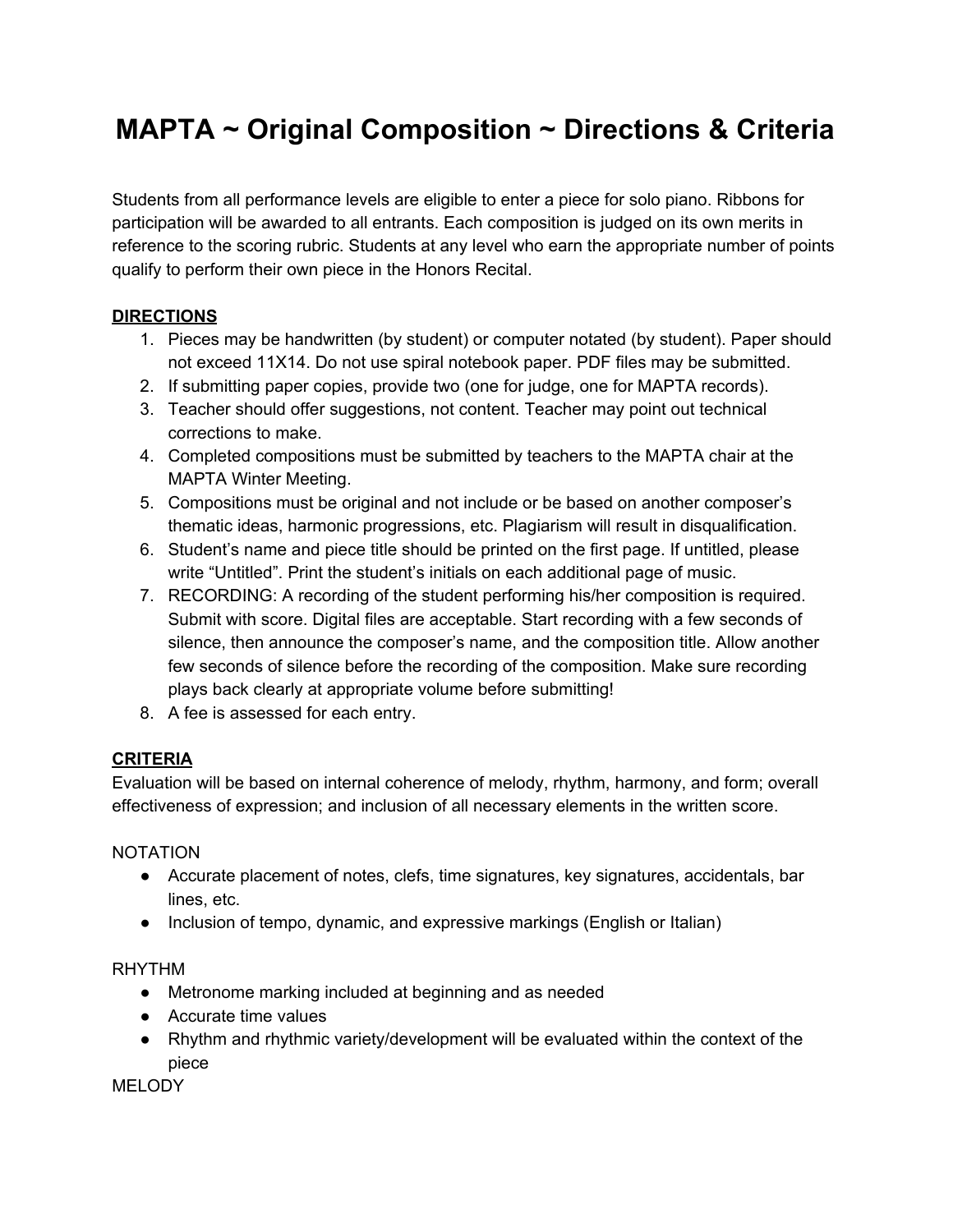# **MAPTA ~ Original Composition ~ Directions & Criteria**

Students from all performance levels are eligible to enter a piece for solo piano. Ribbons for participation will be awarded to all entrants. Each composition is judged on its own merits in reference to the scoring rubric. Students at any level who earn the appropriate number of points qualify to perform their own piece in the Honors Recital.

## **DIRECTIONS**

- 1. Pieces may be handwritten (by student) or computer notated (by student). Paper should not exceed 11X14. Do not use spiral notebook paper. PDF files may be submitted.
- 2. If submitting paper copies, provide two (one for judge, one for MAPTA records).
- 3. Teacher should offer suggestions, not content. Teacher may point out technical corrections to make.
- 4. Completed compositions must be submitted by teachers to the MAPTA chair at the MAPTA Winter Meeting.
- 5. Compositions must be original and not include or be based on another composer's thematic ideas, harmonic progressions, etc. Plagiarism will result in disqualification.
- 6. Student's name and piece title should be printed on the first page. If untitled, please write "Untitled". Print the student's initials on each additional page of music.
- 7. RECORDING: A recording of the student performing his/her composition is required. Submit with score. Digital files are acceptable. Start recording with a few seconds of silence, then announce the composer's name, and the composition title. Allow another few seconds of silence before the recording of the composition. Make sure recording plays back clearly at appropriate volume before submitting!
- 8. A fee is assessed for each entry.

## **CRITERIA**

Evaluation will be based on internal coherence of melody, rhythm, harmony, and form; overall effectiveness of expression; and inclusion of all necessary elements in the written score.

### NOTATION

- Accurate placement of notes, clefs, time signatures, key signatures, accidentals, bar lines, etc.
- Inclusion of tempo, dynamic, and expressive markings (English or Italian)

### RHYTHM

- Metronome marking included at beginning and as needed
- Accurate time values
- Rhythm and rhythmic variety/development will be evaluated within the context of the piece

**MELODY**